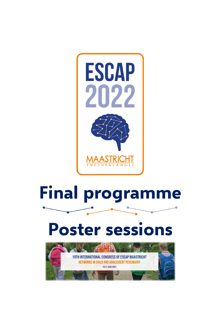

# **Final programme**

# **Poster sessions**

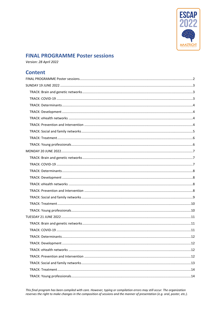

# <span id="page-1-0"></span>**FINAL PROGRAMME Poster sessions**

Version: 28 April 2022

## **Content**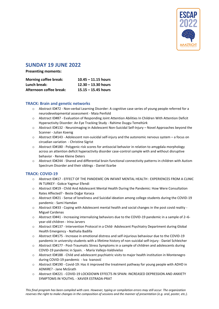

## <span id="page-2-0"></span>**SUNDAY 19 JUNE 2022**

**Presenting moments:** 

| <b>Morning coffee break:</b> | $10.45 - 11.15$ hours |
|------------------------------|-----------------------|
| Lunch break:                 | $12.30 - 13.30$ hours |
| Afternoon coffee break:      | $15.15 - 15.45$ hours |

#### <span id="page-2-1"></span>**TRACK: Brain and genetic networks**

- o Abstract ID#72 Non-verbal Learning Disorder: A cognitive case series of young people referred for a neurodevelopmental assessment - Maia Penfold
- o Abstract ID#87 Evaluation of Responding Joint Attention Abilities In Children With Attention Deficit Hyperactivity Disorder: An Eye Tracking Study - Rahime Duygu Temeltürk
- o Abstract ID#132 Neuroimaging in Adolescent Non-Suicidal Self-Injury Novel Approaches beyond the Scanner - Julian Koenig
- o Abstract ID#143 Adolescent non-suicidal self-injury and the autonomic nervous system a focus on circadian variation - Christine Sigrist
- $\circ$  Abstract ID#180 Polygenic risk scores for antisocial behavior in relation to amygdala morphology across an attention deficit hyperactivity disorder case-control sample with and without disruptive behavior - Renee Kleine Deters
- o Abstract ID#244 Shared and differential brain functional connectivity patterns in children with Autism Spectrum Disorder and their siblings - Daniel Ilzarbe

#### <span id="page-2-2"></span>**TRACK: COVID-19**

- o Abstract ID#17 EFFECT OF THE PANDEMİC ON INFANT MENTAL HEALTH : EXPERIENCES FROM A CLINIC IN TURKEY - Gokce Yagmur Efendi
- o Abstract ID#19 Child And Adolescent Mental Health During the Pandemic: How Were Consultation Rates Affected? - Beste Doğar Karaca
- o Abstract ID#21 Sense of loneliness and Suicidal ideation among college students during the COVID-19 pandemic - Sami Hamdan
- o Abstract ID#33 Coping with Adolescent mental health and social changes in the post covid reality Miguel Cardenas
- o Abstract ID#41 Increasing internalizing behaviors due to the COVID-19 pandemic in a sample of 2–6 year-old children - Irina Jarvers
- o Abstract ID#137 Intervention Protocol in a Child- Adolescent Psychiatry Department during Global Health Emergency - Nathalia Badilla
- o Abstract ID#175 Increase in emotional distress and self-injurious behaviour due to the COVID-19 pandemic in university students with a lifetime history of non-suicidal self-injury - Daniel Schleicher
- o Abstract ID#177 Post-Traumatic Stress Symptoms in a sample of children and adolescents during COVID-19 pandemic in Spain. - María Vallejo-Valdivielso
- o Abstract ID#188 Child and adolescent psychiatric visits to major health institution in Montenegro during COVID-19 pandemic - Iva Ivanović
- o Abstract ID#190 Covid-19: Has it improved the treatment pathway for young people with ADHD in ADMiRE? - Jane McGrath
- o Abstract ID#221 COVID-19 LOCKDOWN EFFECTS IN SPAIN: INCREASED DEPRESSION AND ANXIETY SYMPTOMS IN YOUTHS. - XAVIER ESTRADA-PRAT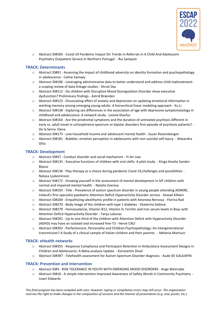

o Abstract ID#283 - Covid-19 Pandemic Impact On Trends In Referrals In A Child And Adolescent Psychiatry Outpatient Service In Northern Portugal - Rui Sampaio

#### <span id="page-3-0"></span>**TRACK: Determinants**

- o Abstract ID#91 Assessing the impact of childhood adversity on identity formation and psychopathology in adolescence - Celine Samaey
- o Abstract ID#106 Leveraging administrative data to better understand and address child maltreatment: a scoping review of data linkage studies - Shruti Das
- o Abstract ID#112 Do children with Disruptive Mood Dysregulation Disorder show executive dysfunction? Preliminary findings - Astrid Brænden
- o Abstract ID#123 Dissociating effect of anxiety and depression on updating emotional information in working memory among emerging young adults: A hierarchical linear modeling approach - Xu Li
- o Abstract ID#138 Exploring sex differences in the association of age with depressive symptomatology in childhood and adolescence: A network study - Leonie Klaufus
- o Abstract ID#164 Are the prodromal symptoms and the duration of untreated psychosis different in early vs. adult onset in schizophrenia spectrum or bipolar disorders first episode of psychosis patients? - De la Serna Elena
- o Abstract ID#173 Low household income and adolescent mental health Susan Ravensbergen
- o Abstract ID#181 Bubbles: emotion perception in adolescents with non-suicidal self-injury Alexandra Otto

#### <span id="page-3-1"></span>**TRACK: Development**

- o Abstract ID#37 Conduct disorder and social mechanism Yi-An Liao
- o Abstract ID#135 Executive functions of children with oral clefts: A pilot study. Kinga Amalia Sandor-Bajusz
- o Abstract ID#136 Play therapy as a choice during pandemic Covid 19,challenges and possibilities Natasa Ljubomirovic
- o Abstract ID#172 Drawing yourself in the assessment of mental development in IVF children with normal and impaired mental health - Natalia Zvereva
- o Abstract ID#193 Title : Prevalence of autism spectrum disorder in young people attending ADMiRE, Ireland's first specialist paediatric Attention Deficit Hyperactivity Disorder service - Sinead Killeen
- o Abstract ID#269 Empathizing-alexithymic profile in patients with Anorexia Nervosa Florina Rad
- o Abstract ID#270 Body image of the children with type 1 diabetes Ekaterina Sedova
- o Abstract ID#279 Homocysteine, Vitamin B12, Vitamin D, Ferritin and Iron serum levels in Boys with Attention Deficit Hyperactivity Disorder - Tanja Lukovac
- o Abstract ID#291 Up to one third of the children with Attention Deficit with Hyperactivity Disorder (ADHD) may have an isolated and increased free-T3 - Hervé CACI
- o Abstract ID#302 Perfectionism, Personality and Children Psychopathology: An intergenerational transmission? A Study of a clinical sample of Italian children and their parents. - Melania Martucci

#### <span id="page-3-2"></span>**TRACK: eHealth networks**

- o Abstract ID#355 Response Compliance and Participant Retention in Ambulatory Assessment Designs in Children and Adolescents: A Meta-analysis Update - Konstantin Drexl
- o Abstract ID#397 Telehealth assessment for Autism Spectrum Disorder diagnosis Aude DE GAULMYN

#### <span id="page-3-3"></span>**TRACK: Prevention and Intervention**

- o Abstract ID#3 RISK TOLERANCE IN YOUTH WITH EMERGING MOOD DISORDERS Ange Weinrabe
- o Abstract ID#10 A simple intervention Improved Awareness of Safety Words in Community Psychiatry Lowri Edwards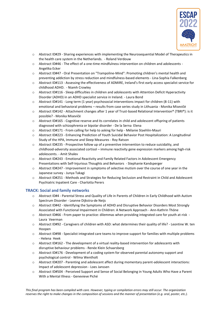

- o Abstract ID#29 Sharing experiences with implementing the Neurosequential Model of Therapeutics in the health care system in the Netherlands. - Roland Verdouw
- o Abstract ID#46 The effect of a one-time mindfulness intervention on children and adolescents Angelika Ecker
- o Abstract ID#47 Oral Presentation on "Trampoline-Mind": Promoting children's mental health and preventing addiction by stress reduction and mindfulness-based elements - Lina-Sophia Falkenberg
- o Abstract ID#113 Assessing the effectiveness of ADMiRE, Ireland's first early access specialist service for childhood ADHD. - Niamh Crowley
- o Abstract ID#116 Sleep difficulties in children and adolescents with Attention Deficit Hyperactivity Disorder (ADHD) in an ADHD specialist service in Ireland. - Laura Bond
- o Abstract ID#141 Long term (1 year) psychosocial interventions impact for children (8-11) with emotional and behavioral problems – results from case series study in Lithuania - Monika Misevičė
- o Abstract ID#142 Attachment changes after 1 year of Trust-based Relational Intervention® (TBRI®): is it possible? - Monika Misevičė
- o Abstract ID#165 Cognitive reserve and its correlates in child and adolescent offspring of patients diagnosed with schizophrenia or bipolar disorder - De la Serna Elena
- o Abstract ID#171 From calling for help to asking for help Mélanie Staehlin-Mauri
- o Abstract ID#223 Enhancing Prediction of Youth Suicidal Behavior Post Hospitalization: A Longitudinal Study of the HPA, Immune and Sleep Measures - Roy Ratson
- o Abstract ID#235 Prospective follow up of a preventive intervention to reduce suicidality, and childhood-adversity associated cortisol – immune reactivity gene expression markers among high-risk adolescents. - Amit Shalev
- o Abstract ID#243 Emotional Reactivity and Family Related Factors in Adolescent Emergency Presentations with Self-Injurious Thoughts and Behaviors - Stephanie Kandsperger
- o Abstract ID#247 Improvement in symptoms of selective mutism over the course of one year in the Japanese survey - Junya Takagi
- o Abstract ID#251 Methods and Strategies for Reducing Seclusion and Restraint in Child and Adolescent Psychiatric Inpatient Care - Charlotta Perers

#### <span id="page-4-0"></span>**TRACK: Social and family networks**

- o Abstract ID#4 Parental Stress and Quality of Life in Parents of Children in Early Childhood with Autism Spectrum Disorder - Leanne Dijkstra-de Neijs
- o Abstract ID#42 Identifying the Symptoms of ADHD and Disruptive Behavior Disorders Most Strongly Associated with Functional Impairment in Children: A Network Approach - Ann-Kathrin Thöne
- o Abstract ID#66 From paper to practice: dilemmas when providing integrated care for youth at-risk Laura Veerman
- o Abstract ID#92 Caregivers of children with ASD: what determines their quality of life? Leontine W. ten Hoopen
- o Abstract ID#98 Specialist integrated care teams to improve support for families with multiple problems - Helena Heek
- o Abstract ID#162 The development of a virtual reality-based intervention for adolescents with disruptive behaviour problems - Renée Klein Schaarsberg
- o Abstract ID#176 Development of a coding system for observed parental autonomy support and psychological control - Wilma Wentholt
- o Abstract ID#207 Parenting and adolescent affect during momentary parent-adolescent interactions: Impact of adolescent depression - Loes Janssen
- o Abstract ID#504 Perceived Support and Sense of Social Belonging in Young Adults Who Have a Parent With a Mental Illness - Genevieve Piché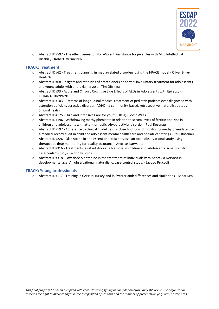

o Abstract ID#597 - The effectiveness of Non-Violent Resistance for juveniles with Mild Intellectual Disabiliy - Robert Vermeiren

#### <span id="page-5-0"></span>**TRACK: Treatment**

- o Abstract ID#62 Treatment planning in media-related disorders using the I-PACE model Oliver Bilke-Hentsch
- o Abstract ID#68 Insights and attitudes of practitioners on formal involuntary treatment for adolescents and young adults with anorexia nervosa - Tim Offringa
- o Abstract ID#93 Acute and Chronic Cognitive Side Effects of AEDs in Adolescents with Epilepsy TETIANA SKRYPNYK
- o Abstract ID#103 Patterns of longitudinal medical treatment of pediatric patients ever-diagnosed with attention deficit hyperactive disorder (ADHD): a community-based, retrospective, naturalistic study - Shlomit Tsafrir
- o Abstract ID#125 High and Intensive Care for youth (HIC-J) Joost Waas
- o Abstract ID#196 Withdrawing methylphenidate in relation to serum levels of ferritin and zinc in children and adolescents with attention-deficit/hyperactivity disorder - Paul Rosenau
- o Abstract ID#197 Adherence to clinical guidelines for dose finding and monitoring methylphenidate use: a medical record audit in child and adolescent mental health care and pediatrics settings - Paul Rosenau
- o Abstract ID#226 Olanzapine in adolescent anorexia nervosa: an open observational study using therapeutic drug monitoring for quality assurance - Andreas Karwautz
- o Abstract ID#316 Treatment-Resistant Anorexia Nervosa in children and adolescents. A naturalistic, case-control study - Jacopo Pruccoli
- o Abstract ID#318 Low-dose olanzapine in the treatment of individuals with Anorexia Nervosa in developmental age. An observational, naturalistic, case-control study. - Jacopo Pruccoli

#### <span id="page-5-1"></span>**TRACK: Young professionals**

<span id="page-5-2"></span>o Abstract ID#117 - Training in CAPP in Turkey and in Switzerland: differences and similarities - Bahar Sen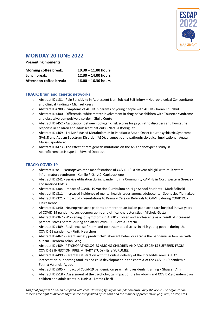

# **MONDAY 20 JUNE 2022**

**Presenting moments:** 

| <b>Morning coffee break:</b> | $10.30 - 11.00$ hours |
|------------------------------|-----------------------|
| Lunch break:                 | $12.30 - 14.00$ hours |
| Afternoon coffee break:      | $16.00 - 16.30$ hours |

#### <span id="page-6-0"></span>**TRACK: Brain and genetic networks**

- o Abstract ID#131 Pain Sensitivity in Adolescent Non-Suicidal Self-Injury Neurobiological Concomitants and Clinical Findings - Michael Kaess
- o Abstract ID#280 Symptoms of ADHD in parents of young people with ADHD Imran Khurshid
- o Abstract ID#400 Differential white matter involvement in drug-naïve children with Tourette syndrome and obsessive-compulsive disorder - Giulia Conte
- o Abstract ID#452 Association between polygenic risk scores for psychiatric disorders and fluoxetine response in children and adolescent patients - Natalia Rodríguez
- o Abstract ID#469 1H-NMR Based Metabolomics in Paediatric Acute-Onset Neuropsychiatric Syndrome (PANS) and Autism Spectrum Disorder (ASD): diagnostic and pathophysiological implications - Agata Maria Capodiferro
- o Abstract ID#473 The effect of rare genetic mutations on the ASD phenotype: a study in neurofibromatosis type 1 - Edward Debbaut

#### <span id="page-6-1"></span>**TRACK: COVID-19**

- o Abstract ID#81 Neuropsychiatric manifestations of COVID-19: a six year old girl with multiystem inflammatory syndrome - Kamilė Plėšnytė- Čapkauskienė
- o Abstract ID#241 Service utilization during pandemic in a Community CAMHS in Northwestern Greece Konsantinos Kotsis
- o Abstract ID#304 Impact of COVID-19 Vaccine Curriculum on High School Students Mark Solinski
- o Abstract ID#311 Increased incidence of mental health issues among adolescents Sophocles Yiannakou
- o Abstract ID#321 Impact of Presentations to Primary Care on Referrals to CAMHS during COVID19. Claire Kehoe
- o Abstract ID#340 Neuropsychiatric patients admitted to an Italian paediatric care hospital in two years of COVID-19 pandemic: sociodemographic and clinical characteristics - Michela Gatta
- o Abstract ID#367 Worsening of symptoms in ADHD children and adolescents as a result of increased parental stress before, during and after Covid-19. - Rozela Tarazhi
- o Abstract ID#409 Resilience, self-harm and posttraumatic distress in Irish young people during the COVID-19 pandemic. - Finiki Nearchou
- o Abstract ID#462 Parent anxiety predict child aberrant behaviors across the pandemic in families with autism - Herdem Aslan Genç
- o Abstract ID#489 PSYCHOPATHOLOGIES AMONG CHILDREN AND ADOLESCENTS SUFFERED FROM COVID-19 INFECTION: PRELIMINARY STUDY - Esra YURUMEZ
- $\circ$  Abstract ID#499 Parental satisfaction with the online delivery of the Incredible Years ASLD® intervention: supporting families and child development in the context of the COVID-19 pandemic - Fatima Valencia-Agudo
- o Abstract ID#505 Impact of Covid-19 pandemic on psychiatric residents' training Ghassen Amri
- o Abstract ID#518 Assessment of the psychological impact of the lockdown and COVID-19 pandemic on children and adolescents in Tunisia - Fatma Charfi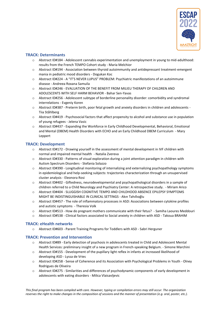

#### <span id="page-7-0"></span>**TRACK: Determinants**

- o Abstract ID#184 Adolescent cannabis experimentation and unemployment in young to mid-adulthood: results from the French TEMPO Cohort study - Maria Melchior
- o Abstract ID#194 Association between thyroid autoimmunity and antidepressant treatment-emergent mania in pediatric mood disorders - Dogukan Koc
- o Abstract ID#224 A "IT'S NEVER LUPUS" PROBLEM: Psychiatric manifestations of an autoimmune disease - Andreea Roxana Samuila
- o Abstract ID#246 EVALUATION OF THE BENEFIT FROM MILIEU THERAPY OF CHILDREN AND ADOLESCENTS WITH SELF HARM BEHAVIOR - Bahar Sen-Yavas
- o Abstract ID#256 Adolescent subtype of borderline personality disorder: comorbidity and syndromal interrelations - Evgeniy Koren
- o Abstract ID#387 Preterm birth, poor fetal growth and anxiety disorders in children and adolescents Tiia Ståhlberg
- o Abstract ID#419 Psychosocial factors that affect propensity to alcohol and substance use in population of young refugees - Jelena Vasic
- o Abstract ID#437 Expanding the Workforce in Early Childhood Developmental, Behavioral, Emotional and Mental (DBEM) Health Disorders with ECHO and an Early Childhood DBEM Curriculum - Mary Leppert

#### <span id="page-7-1"></span>**TRACK: Development**

- o Abstract ID#172 Drawing yourself in the assessment of mental development in IVF children with normal and impaired mental health - Natalia Zvereva
- o Abstract ID#330 Patterns of visual exploration during a joint attention paradigm in children with Autism Spectrum Disorders - Stefania Solazzo
- o Abstract ID#390 Longitudinal monitoring of internalizing and externalizing psychopathology symptoms in epidemiological and help-seeking subjects: trajectories characterization through an unsupervised cluster analysis - Eleonora Rosi
- o Abstract ID#402 Giftedness, neurodevelopmental and psychopathological disorders in a sample of children referred to a Child Neurology and Psychiatry Center: A retrospective study. - Miriam Arico
- o Abstract ID#404 SLUGGISH COGNITIVE TEMPO AND CHILDHOOD ABSENCE EPILEPSY SYMPTOMS MIGHT BE INDISTINGUISHABLE IN CLINICAL SETTINGS - Akın Tahıllıoğlu
- o Abstract ID#457 The role of inflammatory processes in ASD: Associations between cytokine profiles and autistic symptoms - Theresia Volk
- o Abstract ID#513 How do pregnant mothers communicate with their fetus? Samiha Laoures Meddouri
- o Abstract ID#538 Clinical factors associated to Social anxiety in children with ASD Takoua BRAHIM

#### <span id="page-7-2"></span>**TRACK: eHealth networks**

o Abstract ID#603 - Parent Training Programs for Toddlers with ASD - Sabri Herguner

#### <span id="page-7-3"></span>**TRACK: Prevention and Intervention**

- o Abstract ID#89 Early detection of psychosis in adolescents treated in Child and Adolescent Mental Health Services: preliminary insight of a new program in French-speaking Belgium. - Simone Marchini
- o Abstract ID#155 Development of the pupillary light reflex in infants at increased likelihood of developing ASD - Lyssa de Vries
- o Abstract ID#258 Sense of Coherence and its Association with Psychological Problems in Youth Olney Rodrigues de Oliveira
- o Abstract ID#275 Similarities and differences of psychodynamic components of early development in adolescents with eating disorders - Milica Vlaisavljevic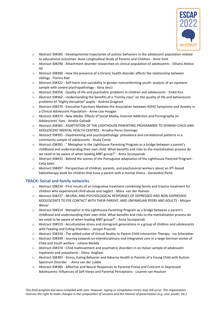

- o Abstract ID#285 Developmental trajectories of autistic behaviors in the adolescent population related to educational outcomes: Avon Longitudinal Study of Parents and Children - Anne Smit
- o Abstract ID#290 Attachment disorder researched on clinical population of adolescents Olivera Aleksic Hil
- o Abstract ID#300 How the presence of a chronic health disorder affects the relationship between siblings - Florina Rad
- o Abstract ID#322 Self-harm and suicidality in gender-nonconforming youth: analysis of an inpatient sample with severe psychopathology - Ilaria Secci
- o Abstract ID#356 Quality of life and psychiatric problems in children and adolescents Enikő Kiss
- o Abstract ID#362 Understanding the benefits of a "Family class" on the quality of life and behavioural problems of "highly disruptive" pupils - Andrea Gragnani
- o Abstract ID#370 Executive Functions Mediate the Association between ADHD Symptoms and Anxiety in a Clinical Adolescent Population - Anne-Lise Haugan
- o Abstract ID#373 New Media: Effects of Social Media, Internet Addiction and Pornography on Adolescents' lives - Amélie Galladé
- o Abstract ID#381 ADAPTATION OF THE LIGHTHOUSE PARENTING PROGRAMME TO SPANISH CHILD AND ADOLESCENT MENTAL HEALTH CENTRES - Ariadna Perez-Domingo
- o Abstract ID#391 Daydreaming and psychopathology: prevalence and correlational patterns in a community sample of adolescents - Giulia Conte
- o Abstract ID#395 " Metaphor in the Lighthouse Parenting Program as a bridge between a parent's childhood and understanding their own child. What benefits and risks to the mentalization process do we need to be aware of when leading MBT group?" - Anna Szczepaniak
- o Abstract ID#433 Behind the scenes of the Portuguese adaptation of the Lighthouse Parental Program Celia Sales
- o Abstract ID#497 Perspectives of children, parents, and psychosocial workers about an IPT-based bibliotherapy book for children that have a parent with a mental illness - Geneviève Piché

#### <span id="page-8-0"></span>**TRACK: Social and family networks**

- o Abstract ID#234 First results of an integrative treatment combining family and trauma treatment for children who experienced child abuse and neglect - Mara van der Hoeven
- o Abstract ID#237 NEURAL AND PSYCHOLOGICAL RESPONSES OF DEPRESSED AND NON-DEPRESSED ADOLESCENTS TO EYE CONTACT WITH THEIR PARENT, AND UNFAMILIAR PEERS AND ADULTS - Mirjam **Wever**
- o Abstract ID#314 Metaphor in the Lighthouse Parenting Program as a bridge between a parent's childhood and understanding their own child. What benefits and risks to the mentalization process do we need to be aware of when leading MBT group?" - Anna Szczepaniak
- o Abstract ID#319 Acculturative stress and immigrant generations in a group of children and adolescents with Feeding and Eating Disorders - Jacopo Pruccoli
- o Abstract ID#334 The added value of Virtual Reality to Parent-Child Interaction Therapy Iza Scherpbier
- o Abstract ID#349 Journey towards an interdisciplinary and integrative care in a large German center of Child and Youth welfare - Juliane Medda
- o Abstract ID#374 Child maltreatment and psychiatric disorders in an Italian sample of adolescent inpatients and outpatients - Elena Arigliani
- o Abstract ID#383 Stress, Eating Behavior and Adverse Health in Parents of a Young Child with Autism Spectrum Disorder - Anna van der Lubbe
- o Abstract ID#384 Affective and Neural Responses to Parental Praise and Criticism in Depressed Adolescents: Influences of Self-Views and Parental Perceptions - Lisanne van Houtum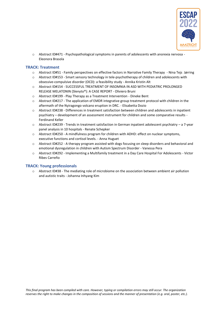

o Abstract ID#471 - Psychopathological symptoms in parents of adolescents with anorexia nervosa - Eleonora Brasola

#### <span id="page-9-0"></span>**TRACK: Treatment**

- o Abstract ID#51 Family perspectives on effective factors in Narrative Family Therapy Nina Tejs Jørring
- o Abstract ID#153 Smart sensory technology in tele-psychotherapy of children and adolescents with obsessive-compulsive disorder (OCD): a feasibility study - Annika Kristin Alt
- o Abstract ID#154 SUCCESSFUL TREATMENT OF INSOMNIA IN ASD WITH PEDIATRIC PROLONGED RELEASE MELATONIN (Slenyto®): A CASE REPORT - Oliviero Bruni
- o Abstract ID#199 Play Therapy as a Treatment Intervention Dineke Bent
- $\circ$  Abstract ID#217 The application of EMDR integrative group treatment protocol with children in the aftermath of the Nyiragongo volcano eruption in DRC. - Elisabetta Dozio
- o Abstract ID#238 Differences in treatment satisfaction between children and adolescents in inpatient psychiatry – development of an assessment instrument for children and some comparative results - Ferdinand Keller
- o Abstract ID#239 Trends in treatment satisfaction in German inpatient adolescent psychiatry a 7-year panel analysis in 10 hospitals - Renate Schepker
- o Abstract ID#250 A mindfulness program for children with ADHD: effect on nuclear symptoms, executive functions and cortisol levels. - Anna Huguet
- o Abstract ID#252 A therapy program assisted with dogs focusing on sleep disorders and behavioral and emotional dysregulation in children with Autism Spectrum Disorder - Vanessa Pera
- o Abstract ID#292 Implementing a Multifamily treatment in a Day Care Hospital For Adolescents Victor Ribes Carreño

#### <span id="page-9-1"></span>**TRACK: Young professionals**

<span id="page-9-2"></span>o Abstract ID#38 - The mediating role of microbiome on the association between ambient air pollution and autistic traits - Johanna Inhyang Kim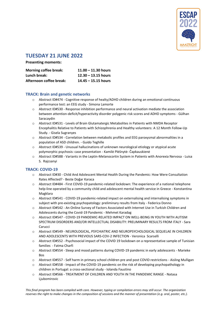

# **TUESDAY 21 JUNE 2022**

**Presenting moments:** 

| <b>Morning coffee break:</b> | $11.00 - 11.30$ hours |
|------------------------------|-----------------------|
| Lunch break:                 | $12.30 - 13.15$ hours |
| Afternoon coffee break:      | $14.45 - 15.15$ hours |

#### <span id="page-10-0"></span>**TRACK: Brain and genetic networks**

- o Abstract ID#474 Cognitive response of healty/ADHD children during an emotional continuous performance test: an EEG study - Simona Lamorte
- o Abstract ID#530 Response inhibition performance and neural activation mediate the association between attention-deficit/hyperactivity disorder polygenic risk scores and ADHD symptoms - Gülhan Saracaydin
- o Abstract ID#531 Levels of Brain Glutamatergic Metabolites in Patients with NMDA Receptor Encephalitis Relative to Patients with Schizophrenia and Healthy volunteers: A 12 Month Follow-Up Study. - Gisela Sugranyes
- o Abstract ID#534 Correlation between metabolic profiles and EEG paroxysmal abnormalities in a population of ASD children. - Guido Teghille
- o Abstract ID#539 Unusual hallucinations of unknown neurological etiology or atypical acute polymorphic psychosis: case presentation - Kamilė Plėšnytė- Čapkauskienė
- o Abstract ID#588 Variants in the Leptin-Melanocortin System in Patients with Anorexia Nervosa Luisa S. Rajcsanyi

#### <span id="page-10-1"></span>**TRACK: COVID-19**

- o Abstract ID#30 Child And Adolescent Mental Health During the Pandemic: How Were Consultation Rates Affected? - Beste Doğar Karaca
- o Abstract ID#484 First COVID-19 pandemic-related lockdown: The experience of a national telephone help-line operated by a community child and adolescent mental health service in Greece - Konstantina Magklara
- o Abstract ID#541 COVID-19 pandemic-related impact on externalising and internalising symptoms in subject with pre-existing psychopatology: preliminary results from Italy - Federica Donno
- o Abstract ID#542 An Online Survey of Factors Associated with Internet Use in Turkish Children and Adolescents during the Covid-19 Pandemic - Mehmet Karadag
- o Abstract ID#547 COVID-19 PANDEMIC-RELATED IMPACT ON WELL-BEING IN YOUTH WITH AUTISM SPECTRUM DISORDERS AND/OR INTELLECTUAL DISABILITY: PRELIMINARY RESULTS FROM ITALY - Sara Carucci
- o Abstract ID#549 NEUROLOGICAL, PSYCHIATRIC AND NEUROPSYCHOLOGICAL SEQUELAE IN CHILDREN AND ADOLESCENTS WITH PREVIOUS SARS-COV-2 INFECTION - Veronica Scarselli
- o Abstract ID#552 Psychosocial impact of the COVID 19 lockdown on a representative sample of Tunisian families - Fatma Charfi
- o Abstract ID#554 Sleep and mood patterns during COVID-19 pandemic in early adolescents Marieke Bos
- o Abstract ID#557 Self harm in primary school children pre and post COVID restrictions Aisling Mulligan
- $\circ$  Abstract ID#558 Impact of the COVID-19 pandemic on the risk of developing psychopathology in children in Portugal: a cross-sectional study - Iolanda Faustino
- o Abstract ID#566 TREATMENT OF CHILDREN AND YOUTH IN THE PANDEMIC RANGE Natasa Ljubomirovic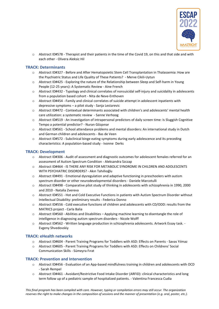

o Abstract ID#578 - Therapist and their patients in the time of the Covid 19, on this and that side and with each other - Olivera Aleksic Hil

#### <span id="page-11-0"></span>**TRACK: Determinants**

- o Abstract ID#327 Before and After Hematopoietic Stem Cell Transplantation in Thalassemia: How are the Psychiatric Status and Life Quality of These Patients? - Merve Cikili-Uytun
- o Abstract ID#425 Exploring the nature of the Relationship between Sleep and Self-harm in Young People (12-25 years): A Systematic Review - Aine French
- o Abstract ID#432 Typology and clinical correlates of nonsuicidal self-injury and suicidality in adolescents from a population based cohort - Nita de Neve-Enthoven
- o Abstract ID#454 Family and clinical correlates of suicide attempt in adolescent inpatients with depressive symptoms – a pilot study - Sanja Lestarevic
- o Abstract ID#472 Contextual determinants associated with children's and adolescents' mental health care utilization: a systematic review - Sanne Verhoog
- o Abstract ID#519 An investigation of intrapersonal predictors of daily screen time: Is Sluggish Cognitive Tempo a potential predictor? - Nuran Gözpınar
- o Abstract ID#561 School attendance problems and mental disorders: An international study in Dutch and German children and adolescents - Bas de Veen
- o Abstract ID#572 Subclinical binge eating symptoms during early adolescence and its preceding characteristics: A population-based study - Ivonne Derks

#### <span id="page-11-1"></span>**TRACK: Development**

- o Abstract ID#306 Audit of assessment and diagnostic outcomes for adolescent females referred for an assessment of Autism Spectrum Condition - Aleksandra Szczap
- o Abstract ID#464 IS THERE ANY RISK FOR METABOLIC SYNDROME IN CHILDREN AND ADOLESCENTS WITH PSYCHIATRIC DISORDERS? - Akın Tahıllıoğlu
- $\circ$  Abstract ID#491 Emotional dysregulation and adaptive functioning in preschoolers with autism spectrum disorder or other neurodevelopmental disorders - Daniele Marcotulli
- o Abstract ID#498 Comparative pilot study of thinking in adolescents with schizophrenia in 1990, 2000 and 2010 - Natalia Zvereva
- o Abstract ID#551 Hot and Cold Executive Functions in patients with Autism Spectrum Disorder without Intellectual Disability: preliminary results - Federica Donno
- o Abstract ID#556 Cold executive functions of children and adolescents with CD/ODD: results from the MATRICS project - Carla Balia
- o Abstract ID#560 Abilities and Disabilities Applying machine learning to disentangle the role of intelligence in diagnosing autism spectrum disorders - Nicole Wolff
- Abstract ID#562 Written language production in schizophrenia adolescents. Artwork Essay task. -Evgeny Shvedovskiy

#### <span id="page-11-2"></span>**TRACK: eHealth networks**

- o Abstract ID#604 Parent Training Programs for Toddlers with ASD: Effects on Parents Savas Yılmaz
- o Abstract ID#605 Parent Training Programs for Toddlers with ASD: Effects on Childrens' Social Communication Skills - Sümeyra Fırat

#### <span id="page-11-3"></span>**TRACK: Prevention and Intervention**

- o Abstract ID#456 Evaluation of an App-based mindfulness training in children and adolescents with OCD - Sarah Rempel
- o Abstract ID#461 Avoidant/Restrictive Food Intake Disorder (ARFID): clinical characteristics and long term follow up of a pediatric sample of hospitalized patients. - Valentina Francesca Cudia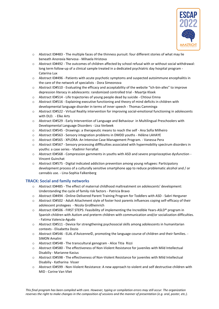

- o Abstract ID#483 The multiple faces of the thinness pursuit: four different stories of what may lie beneath Anorexia Nervosa - Mihaela Hristova
- o Abstract ID#492 The outcomes of children affected by school refusal with or without social withdrawal: long term follow-up of a clinical sample treated in a dedicated psychiatric day hospital program - Caterina Lux
- o Abstract ID#496 Patients with acute psychotic symptoms and suspected autoimmune encephalitis in the care of the network of specialists - Dora Simeonova
- o Abstract ID#510 Evaluating the efficacy and acceptability of the website "ich-bin-alles" to improve depression literacy in adolescents: randomized controlled trial - Maartje Kloek
- o Abstract ID#514 Life trajectories of young people dead by suicide Chtioui Emna
- o Abstract ID#516 Explaining executive functioning and theory of mind deficits in children with developmental language disorder in terms of inner speech - Thomas Camminga
- o Abstract ID#522 Virtual Reality intervention for improving social-emotional functioning in adolescents with DLD. - Elke Arts
- o Abstract ID#529 Early Intervention of Language and Behaviour in Multilingual Preschoolers with Developmental Language Disorders - Lisa Verbeek
- o Abstract ID#545 Drawings: a therapeutic means to reach the self Ana Sofia Milheiro
- o Abstract ID#563 Sensory integration problems in DMDD youths Hélène LAHAYE
- o Abstract ID#565 XPLORA: An Intensive Case Management Program. Vanessa Pera
- o Abstract ID#567 Sensory processing diffficulties associated with hypermobility spectrum disorders in youths: a case series - Vladimir Ferrafiat
- o Abstract ID#568 Compression garnments in youths with ASD and severe proprioceptive dysfunction Vincent Guinchat
- o Abstract ID#575 Digital indicated addiction prevention among young refugees: Participatory development process of a culturally sensitive smartphone app to reduce problematic alcohol and / or cannabis use. - Lina-Sophia Falkenberg

#### <span id="page-12-0"></span>**TRACK: Social and family networks**

- o Abstract ID#485 The effect of maternal childhood maltreatment on adolescents' development: Understanding the cycle of family risk factors - Patricia Bravo
- o Abstract ID#494 Online-Delivered Parent Training Program for Toddlers with ASD Sabri Herguner
- o Abstract ID#502 Adult Attachment style of foster host parents influences coping self-efficacy of their adolescent protegees - Nicola Großheinrich
- o Abstract ID#506 FIRST STEPS: Feasibility of implementing the Incredible Years-ASLD® program in Spanish children with Autism and preterm children with communication and/or socialization difficulties. - Fatima Valencia-Agudo
- o Abstract ID#511 Device for strengthening psychosocial skills among adolescents in humanitarian contexts - Elisabetta Dozio
- o Abstract ID#546 ELAL d'Avicenne©, promoting the language course of children and their families. SIMON Amalini
- o Abstract ID#548 The transcultural genogram Alice Titia Rizzi
- o Abstract ID#580 The effectiveness of Non-Violent Resistance for juveniles with Mild Intellectual Disabiliy - Marianne Kasius
- o Abstract ID#598 The effectiveness of Non-Violent Resistance for juveniles with Mild Intellectual Disabiliy - Katharina Visser
- o Abstract ID#599 Non-Violent Resistance: A new approach to violent and self destructive children with MID - Corine Van Vliet